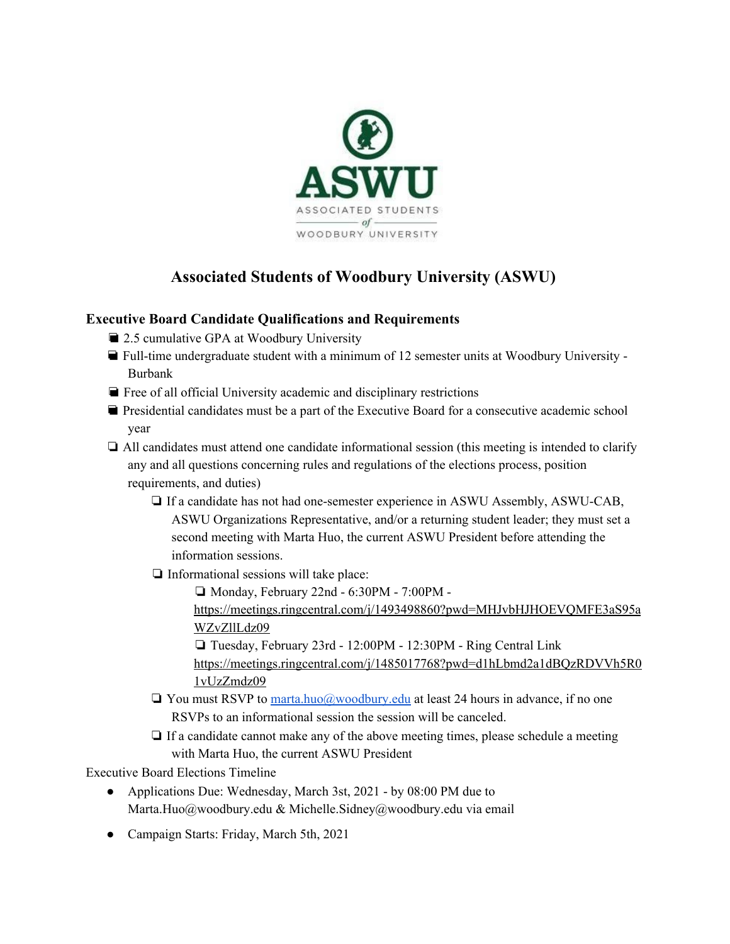

## **Associated Students of Woodbury University (ASWU)**

## **Executive Board Candidate Qualifications and Requirements**

- ❏ 2.5 cumulative GPA at Woodbury University
- ❏ Full-time undergraduate student with a minimum of 12 semester units at Woodbury University Burbank
- ❏ Free of all official University academic and disciplinary restrictions
- ❏ Presidential candidates must be a part of the Executive Board for a consecutive academic school year
- ❏ All candidates must attend one candidate informational session (this meeting is intended to clarify any and all questions concerning rules and regulations of the elections process, position requirements, and duties)
	- ❏ If a candidate has not had one-semester experience in ASWU Assembly, ASWU-CAB, ASWU Organizations Representative, and/or a returning student leader; they must set a second meeting with Marta Huo, the current ASWU President before attending the information sessions.
	- ❏ Informational sessions will take place:

❏ Monday, February 22nd - 6:30PM - 7:00PM -

[https://meetings.ringcentral.com/j/1493498860?pwd=MHJvbHJHOEVQMFE3aS95a](https://meetings.ringcentral.com/j/1493498860?pwd=MHJvbHJHOEVQMFE3aS95aWZvZllLdz09) [WZvZllLdz09](https://meetings.ringcentral.com/j/1493498860?pwd=MHJvbHJHOEVQMFE3aS95aWZvZllLdz09)

❏ Tuesday, February 23rd - 12:00PM - 12:30PM - Ring Central Link [https://meetings.ringcentral.com/j/1485017768?pwd=d1hLbmd2a1dBQzRDVVh5R0](https://meetings.ringcentral.com/j/1485017768?pwd=d1hLbmd2a1dBQzRDVVh5R01vUzZmdz09) [1vUzZmdz09](https://meetings.ringcentral.com/j/1485017768?pwd=d1hLbmd2a1dBQzRDVVh5R01vUzZmdz09)

- ❏ You must RSVP to [marta.huo@woodbury.edu](mailto:marta.huo@woodbury.edu) at least 24 hours in advance, if no one RSVPs to an informational session the session will be canceled.
- ❏ If a candidate cannot make any of the above meeting times, please schedule a meeting with Marta Huo, the current ASWU President

Executive Board Elections Timeline

- Applications Due: Wednesday, March 3st, 2021 by 08:00 PM due to Marta.Huo@woodbury.edu & Michelle.Sidney@woodbury.edu via email
- Campaign Starts: Friday, March 5th, 2021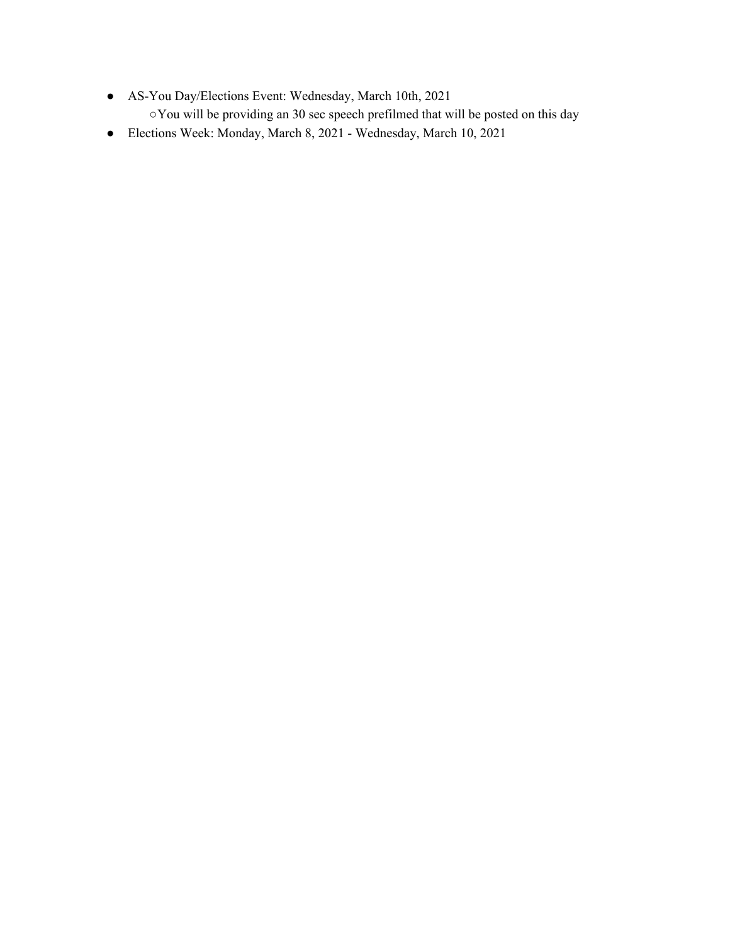- AS-You Day/Elections Event: Wednesday, March 10th, 2021 ○You will be providing an 30 sec speech prefilmed that will be posted on this day
- Elections Week: Monday, March 8, 2021 Wednesday, March 10, 2021